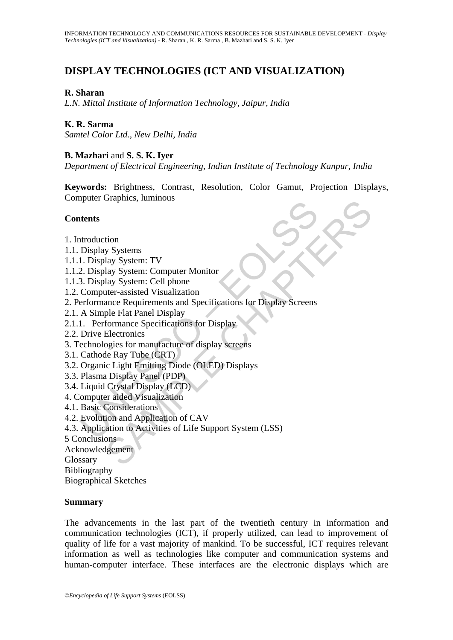# **DISPLAY TECHNOLOGIES (ICT AND VISUALIZATION)**

## **R. Sharan**

*L.N. Mittal Institute of Information Technology, Jaipur, India* 

## **K. R. Sarma**

*Samtel Color Ltd., New Delhi, India* 

#### **B. Mazhari** and **S. S. K. Iyer**

*Department of Electrical Engineering, Indian Institute of Technology Kanpur, India* 

**Keywords:** Brightness, Contrast, Resolution, Color Gamut, Projection Displays, Computer Graphics, luminous

#### **Contents**

- 1. Introduction
- 1.1. Display Systems
- 1.1.1. Display System: TV
- 1.1.2. Display System: Computer Monitor
- 1.1.3. Display System: Cell phone
- 1.2. Computer-assisted Visualization
- **thents**<br>
Itents<br>
Itents<br>
Incoluction<br>
Display System: TV<br>
1. Display System: TV<br>
2. Display System: Computer Monitor<br>
3. Display System: Cell phone<br>
Computer-assisted Visualization<br>
of Simple Flat Panel Display<br>
Dive Elec Statement Computer Monitor<br>
System: TV<br>
Ilay System: Computer Monitor<br>
alay System: Computer Monitor<br>
alay System: Cell phone<br>
alter-assisted Visualization<br>
Ince Requirements and Specifications for Display Screens<br>
formanc 2. Performance Requirements and Specifications for Display Screens
- 2.1. A Simple Flat Panel Display
- 2.1.1. Performance Specifications for Display
- 2.2. Drive Electronics
- 3. Technologies for manufacture of display screens
- 3.1. Cathode Ray Tube (CRT)
- 3.2. Organic Light Emitting Diode (OLED) Displays
- 3.3. Plasma Display Panel (PDP)
- 3.4. Liquid Crystal Display (LCD)
- 4. Computer aided Visualization
- 4.1. Basic Considerations
- 4.2. Evolution and Application of CAV
- 4.3. Application to Activities of Life Support System (LSS)
- 5 Conclusions
- Acknowledgement

Glossary

Bibliography

Biographical Sketches

#### **Summary**

The advancements in the last part of the twentieth century in information and communication technologies (ICT), if properly utilized, can lead to improvement of quality of life for a vast majority of mankind. To be successful, ICT requires relevant information as well as technologies like computer and communication systems and human-computer interface. These interfaces are the electronic displays which are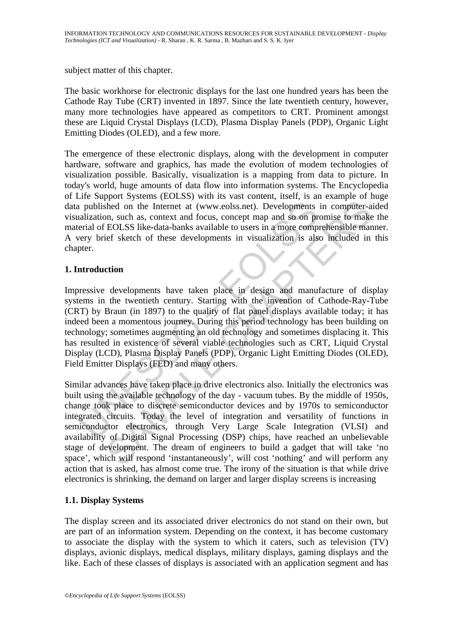subject matter of this chapter.

The basic workhorse for electronic displays for the last one hundred years has been the Cathode Ray Tube (CRT) invented in 1897. Since the late twentieth century, however, many more technologies have appeared as competitors to CRT. Prominent amongst these are Liquid Crystal Displays (LCD), Plasma Display Panels (PDP), Organic Light Emitting Diodes (OLED), and a few more.

The emergence of these electronic displays, along with the development in computer hardware, software and graphics, has made the evolution of modem technologies of visualization possible. Basically, visualization is a mapping from data to picture. In today's world, huge amounts of data flow into information systems. The Encyclopedia of Life Support Systems (EOLSS) with its vast content, itself, is an example of huge data published on the Internet at (www.eolss.net). Developments in computer-aided visualization, such as, context and focus, concept map and so on promise to make the material of EOLSS like-data-banks available to users in a more comprehensible manner. A very brief sketch of these developments in visualization is also included in this chapter.

# **1. Introduction**

published on the Internet at (www.eolss.net). Developments<br>alization, such as, context and focus, concept map and so on pr<br>erial of EOLSS like-data-banks available to users in a more comp<br>ery brief sketch of these developm Impressive developments have taken place in design and manufacture of display systems in the twentieth century. Starting with the invention of Cathode-Ray-Tube (CRT) by Braun (in 1897) to the quality of flat panel displays available today; it has indeed been a momentous journey. During this period technology has been building on technology; sometimes augmenting an old technology and sometimes displacing it. This has resulted in existence of several viable technologies such as CRT, Liquid Crystal Display (LCD), Plasma Display Panels (PDP), Organic Light Emitting Diodes (OLED), Field Emitter Displays (FED) and many others.

From the available technology of the day - vacuum tubes. By the middle reliction<br>of the available constrained in consideration, and so on promise to make<br>EOLSS like-data-banks available to users in a more comprehensible ma Similar advances have taken place in drive electronics also. Initially the electronics was built using the available technology of the day - vacuum tubes. By the middle of 1950s, change took place to discrete semiconductor devices and by 1970s to semiconductor integrated circuits. Today the level of integration and versatility of functions in semiconductor electronics, through Very Large Scale Integration (VLSI) and availability of Digital Signal Processing (DSP) chips, have reached an unbelievable stage of development. The dream of engineers to build a gadget that will take 'no space', which will respond 'instantaneously', will cost 'nothing' and will perform any action that is asked, has almost come true. The irony of the situation is that while drive electronics is shrinking, the demand on larger and larger display screens is increasing

## **1.1. Display Systems**

The display screen and its associated driver electronics do not stand on their own, but are part of an information system. Depending on the context, it has become customary to associate the display with the system to which it caters, such as television (TV) displays, avionic displays, medical displays, military displays, gaming displays and the like. Each of these classes of displays is associated with an application segment and has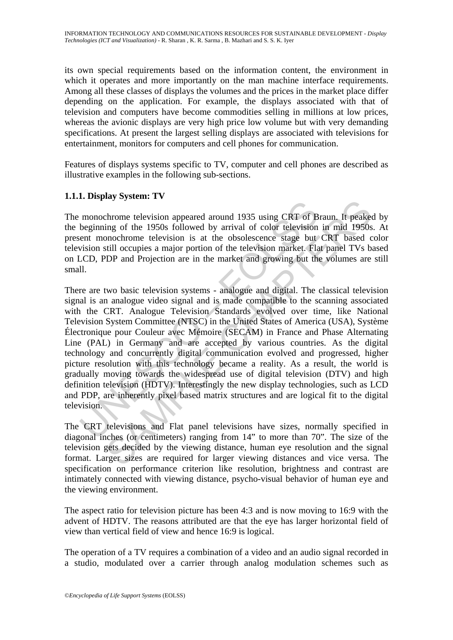its own special requirements based on the information content, the environment in which it operates and more importantly on the man machine interface requirements. Among all these classes of displays the volumes and the prices in the market place differ depending on the application. For example, the displays associated with that of television and computers have become commodities selling in millions at low prices, whereas the avionic displays are very high price low volume but with very demanding specifications. At present the largest selling displays are associated with televisions for entertainment, monitors for computers and cell phones for communication.

Features of displays systems specific to TV, computer and cell phones are described as illustrative examples in the following sub-sections.

## **1.1.1. Display System: TV**

The monochrome television appeared around 1935 using CRT of Braun. It peaked by the beginning of the 1950s followed by arrival of color television in mid 1950s. At present monochrome television is at the obsolescence stage but CRT based color television still occupies a major portion of the television market. Flat panel TVs based on LCD, PDP and Projection are in the market and growing but the volumes are still small.

monochrome television appeared around 1935 using CRT of B<br>beginning of the 1950s followed by arrival of color television<br>ent monochrome television is at the obsolescence stage but<br>usion still occupies a major portion of th Expression appeared around 1935 using CRT of Braun. It peake<br>throme television appeared around 1935 using CRT of Braun. It peake<br>monochrome television is at the obsolescence stage but CRT based cstill occupies a major port There are two basic television systems - analogue and digital. The classical television signal is an analogue video signal and is made compatible to the scanning associated with the CRT. Analogue Television Standards evolved over time, like National Television System Committee (NTSC) in the United States of America (USA), Système Électronique pour Couleur avec Mémoire (SECAM) in France and Phase Alternating Line (PAL) in Germany and are accepted by various countries. As the digital technology and concurrently digital communication evolved and progressed, higher picture resolution with this technology became a reality. As a result, the world is gradually moving towards the widespread use of digital television (DTV) and high definition television (HDTV). Interestingly the new display technologies, such as LCD and PDP, are inherently pixel based matrix structures and are logical fit to the digital television.

The CRT televisions and Flat panel televisions have sizes, normally specified in diagonal inches (or centimeters) ranging from 14" to more than 70". The size of the television gets decided by the viewing distance, human eye resolution and the signal format. Larger sizes are required for larger viewing distances and vice versa. The specification on performance criterion like resolution, brightness and contrast are intimately connected with viewing distance, psycho-visual behavior of human eye and the viewing environment.

The aspect ratio for television picture has been 4:3 and is now moving to 16:9 with the advent of HDTV. The reasons attributed are that the eye has larger horizontal field of view than vertical field of view and hence 16:9 is logical.

The operation of a TV requires a combination of a video and an audio signal recorded in a studio, modulated over a carrier through analog modulation schemes such as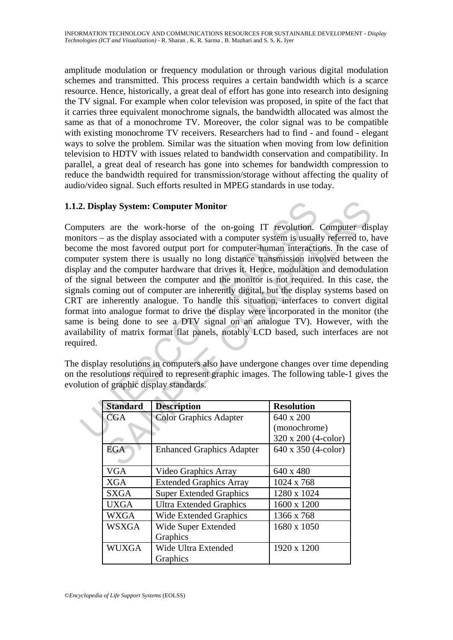amplitude modulation or frequency modulation or through various digital modulation schemes and transmitted. This process requires a certain bandwidth which is a scarce resource. Hence, historically, a great deal of effort has gone into research into designing the TV signal. For example when color television was proposed, in spite of the fact that it carries three equivalent monochrome signals, the bandwidth allocated was almost the same as that of a monochrome TV. Moreover, the color signal was to be compatible with existing monochrome TV receivers. Researchers had to find - and found - elegant ways to solve the problem. Similar was the situation when moving from low definition television to HDTV with issues related to bandwidth conservation and compatibility. In parallel, a great deal of research has gone into schemes for bandwidth compression to reduce the bandwidth required for transmission/storage without affecting the quality of audio/video signal. Such efforts resulted in MPEG standards in use today.

## **1.1.2. Display System: Computer Monitor**

2. Display System: Computer Monitor<br>nputers are the work-horse of the on-going IT revolution.<br>nutrons – as the display associated with a computer system is usuall<br>nome the most favored output port for computer-human inter **Example 1**<br> **EXECUTE: EXECUTE: EXECUTE: EXECUTE: EXECUTE: EXECUTE: EXECUTE: EXECUTE: EXECUTE: EXECUTE: EXECUTE: EXECUTE: EXECUTE: EXECUTE: EXECUTE: EXECUTE: EXECUTE: EXECUTE: EXECUTE:** Computers are the work-horse of the on-going IT revolution. Computer display monitors – as the display associated with a computer system is usually referred to, have become the most favored output port for computer-human interactions. In the case of computer system there is usually no long distance transmission involved between the display and the computer hardware that drives it. Hence, modulation and demodulation of the signal between the computer and the monitor is not required. In this case, the signals coming out of computer are inherently digital, but the display systems based on CRT are inherently analogue. To handle this situation, interfaces to convert digital format into analogue format to drive the display were incorporated in the monitor (the same is being done to see a DTV signal on an analogue TV). However, with the availability of matrix format flat panels, notably LCD based, such interfaces are not required.

The display resolutions in computers also have undergone changes over time depending on the resolutions required to represent graphic images. The following table-1 gives the evolution of graphic display standards.

| <b>Standard</b> | <b>Description</b>               | <b>Resolution</b>   |
|-----------------|----------------------------------|---------------------|
| CGA             | <b>Color Graphics Adapter</b>    | 640 x 200           |
|                 |                                  | (monochrome)        |
|                 |                                  | 320 x 200 (4-color) |
| EGA             | <b>Enhanced Graphics Adapter</b> | 640 x 350 (4-color) |
|                 |                                  |                     |
| <b>VGA</b>      | Video Graphics Array             | 640 x 480           |
| <b>XGA</b>      | <b>Extended Graphics Array</b>   | 1024 x 768          |
| <b>SXGA</b>     | <b>Super Extended Graphics</b>   | 1280 x 1024         |
| <b>UXGA</b>     | <b>Ultra Extended Graphics</b>   | 1600 x 1200         |
| <b>WXGA</b>     | <b>Wide Extended Graphics</b>    | 1366 x 768          |
| <b>WSXGA</b>    | Wide Super Extended              | 1680 x 1050         |
|                 | Graphics                         |                     |
| <b>WUXGA</b>    | Wide Ultra Extended              | 1920 x 1200         |
|                 | Graphics                         |                     |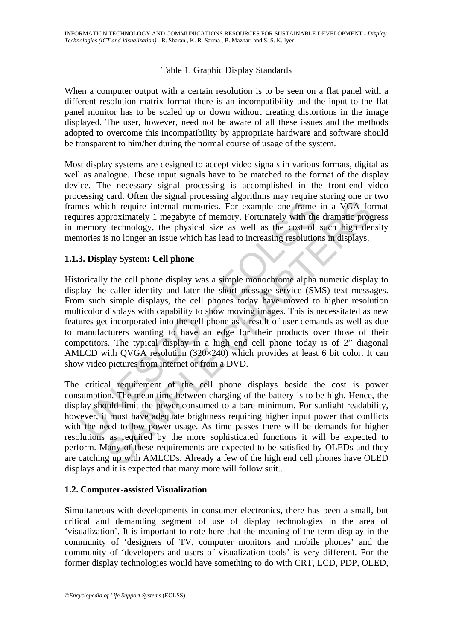## Table 1. Graphic Display Standards

When a computer output with a certain resolution is to be seen on a flat panel with a different resolution matrix format there is an incompatibility and the input to the flat panel monitor has to be scaled up or down without creating distortions in the image displayed. The user, however, need not be aware of all these issues and the methods adopted to overcome this incompatibility by appropriate hardware and software should be transparent to him/her during the normal course of usage of the system.

Most display systems are designed to accept video signals in various formats, digital as well as analogue. These input signals have to be matched to the format of the display device. The necessary signal processing is accomplished in the front-end video processing card. Often the signal processing algorithms may require storing one or two frames which require internal memories. For example one frame in a VGA format requires approximately 1 megabyte of memory. Fortunately with the dramatic progress in memory technology, the physical size as well as the cost of such high density memories is no longer an issue which has lead to increasing resolutions in displays.

#### **1.1.3. Display System: Cell phone**

ness which require internal memories. For example one frame<br>ires approximately 1 megabyte of memory. Fortunately with the<br>nemory technology, the physical size as well as the cost of<br>nories is no longer an issue which has l ich require internal memories. For example one frame in a VGA for<br>ich require internal memories. For example one frame in a VGA for<br>proximately 1 megabyte of memory. Fortunately with the dramatic prog<br>vechnology, the phys Historically the cell phone display was a simple monochrome alpha numeric display to display the caller identity and later the short message service (SMS) text messages. From such simple displays, the cell phones today have moved to higher resolution multicolor displays with capability to show moving images. This is necessitated as new features get incorporated into the cell phone as a result of user demands as well as due to manufacturers wanting to have an edge for their products over those of their competitors. The typical display in a high end cell phone today is of 2" diagonal AMLCD with QVGA resolution (320×240) which provides at least 6 bit color. It can show video pictures from internet or from a DVD.

The critical requirement of the cell phone displays beside the cost is power consumption. The mean time between charging of the battery is to be high. Hence, the display should limit the power consumed to a bare minimum. For sunlight readability, however, it must have adequate brightness requiring higher input power that conflicts with the need to low power usage. As time passes there will be demands for higher resolutions as required by the more sophisticated functions it will be expected to perform. Many of these requirements are expected to be satisfied by OLEDs and they are catching up with AMLCDs. Already a few of the high end cell phones have OLED displays and it is expected that many more will follow suit..

#### **1.2. Computer-assisted Visualization**

Simultaneous with developments in consumer electronics, there has been a small, but critical and demanding segment of use of display technologies in the area of 'visualization'. It is important to note here that the meaning of the term display in the community of 'designers of TV, computer monitors and mobile phones' and the community of 'developers and users of visualization tools' is very different. For the former display technologies would have something to do with CRT, LCD, PDP, OLED,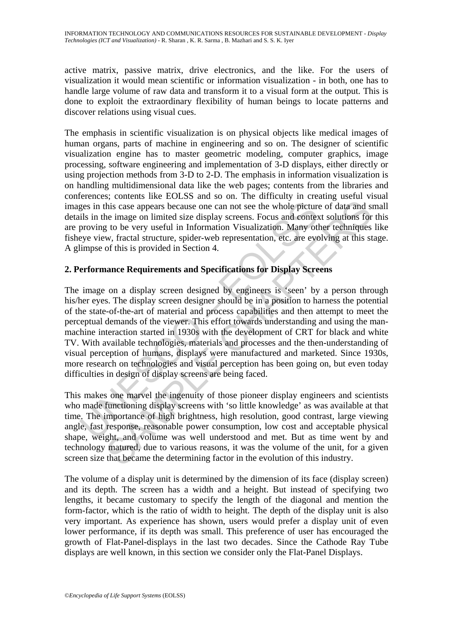active matrix, passive matrix, drive electronics, and the like. For the users of visualization it would mean scientific or information visualization - in both, one has to handle large volume of raw data and transform it to a visual form at the output. This is done to exploit the extraordinary flexibility of human beings to locate patterns and discover relations using visual cues.

The emphasis in scientific visualization is on physical objects like medical images of human organs, parts of machine in engineering and so on. The designer of scientific visualization engine has to master geometric modeling, computer graphics, image processing, software engineering and implementation of 3-D displays, either directly or using projection methods from 3-D to 2-D. The emphasis in information visualization is on handling multidimensional data like the web pages; contents from the libraries and conferences; contents like EOLSS and so on. The difficulty in creating useful visual images in this case appears because one can not see the whole picture of data and small details in the image on limited size display screens. Focus and context solutions for this are proving to be very useful in Information Visualization. Many other techniques like fisheye view, fractal structure, spider-web representation, etc. are evolving at this stage. A glimpse of this is provided in Section 4.

# **2. Performance Requirements and Specifications for Display Screens**

ges in this case appears because one can not see the whole picture<br>ils in the image on limited size display screens. Focus and contex<br>proving to be very useful in Information Visualization. Many otly<br>eve view, fractal stru As this case appears because one can not see the whole picture of data and s his case appears because one can not see the whole picture of data and s he image on limited size display screens. Focus and context solutions f The image on a display screen designed by engineers is 'seen' by a person through his/her eyes. The display screen designer should be in a position to harness the potential of the state-of-the-art of material and process capabilities and then attempt to meet the perceptual demands of the viewer. This effort towards understanding and using the manmachine interaction started in 1930s with the development of CRT for black and white TV. With available technologies, materials and processes and the then-understanding of visual perception of humans, displays were manufactured and marketed. Since 1930s, more research on technologies and visual perception has been going on, but even today difficulties in design of display screens are being faced.

This makes one marvel the ingenuity of those pioneer display engineers and scientists who made functioning display screens with 'so little knowledge' as was available at that time. The importance of high brightness, high resolution, good contrast, large viewing angle, fast response, reasonable power consumption, low cost and acceptable physical shape, weight, and volume was well understood and met. But as time went by and technology matured, due to various reasons, it was the volume of the unit, for a given screen size that became the determining factor in the evolution of this industry.

The volume of a display unit is determined by the dimension of its face (display screen) and its depth. The screen has a width and a height. But instead of specifying two lengths, it became customary to specify the length of the diagonal and mention the form-factor, which is the ratio of width to height. The depth of the display unit is also very important. As experience has shown, users would prefer a display unit of even lower performance, if its depth was small. This preference of user has encouraged the growth of Flat-Panel-displays in the last two decades. Since the Cathode Ray Tube displays are well known, in this section we consider only the Flat-Panel Displays.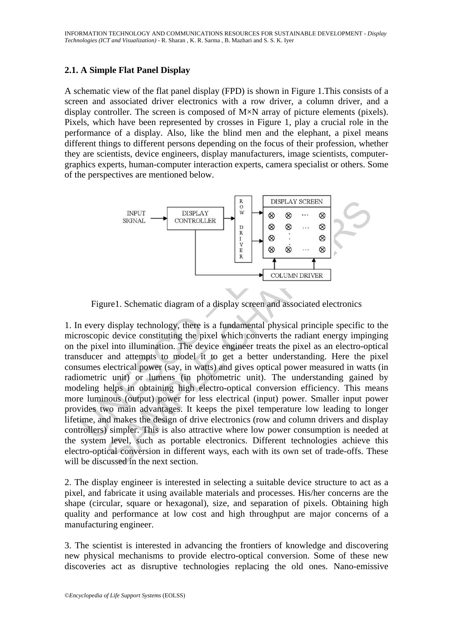## **2.1. A Simple Flat Panel Display**

A schematic view of the flat panel display (FPD) is shown in Figure 1.This consists of a screen and associated driver electronics with a row driver, a column driver, and a display controller. The screen is composed of M×N array of picture elements (pixels). Pixels, which have been represented by crosses in Figure 1, play a crucial role in the performance of a display. Also, like the blind men and the elephant, a pixel means different things to different persons depending on the focus of their profession, whether they are scientists, device engineers, display manufacturers, image scientists, computergraphics experts, human-computer interaction experts, camera specialist or others. Some of the perspectives are mentioned below.



Figure1. Schematic diagram of a display screen and associated electronics

THE SIGNAL THE CONTROLLER SERVER SURVEY SURVEY SURVEY SURVEY SURVEY SURVEY SURVEY SURVEY SURVEY SURVEY SURVEY SURVEY SURVEY SURVEY SURVEY SURVEY SURVEY SURVEY SURVEY SURVEY SURVEY SURVEY SURVEY SURVEY SURVEY SURVEY SURVEY SIGNAL<br>
SIGNAL<br>
SIGNAL<br>
SIGNAL<br>
SIGNAL<br>
SIGNAL<br>
SIGNAL<br>
SIGNAL<br>
SIGNAL<br>
SIGNAL<br>
SIGNAL<br>
SIGNAL<br>
SIGNAL<br>
SIGNAL<br>
SIGNAL<br>
SIGNAL<br>
SIGNAL<br>
SIGNAL<br>
SIGNAL<br>
SIGNAL<br>
SIGNAL<br>
SIGNAL<br>
SIGNAL<br>
SIGNAL<br>
SIGNAL<br>
SIGNAL<br>
SIGNAL<br>
SIGNA 1. In every display technology, there is a fundamental physical principle specific to the microscopic device constituting the pixel which converts the radiant energy impinging on the pixel into illumination. The device engineer treats the pixel as an electro-optical transducer and attempts to model it to get a better understanding. Here the pixel consumes electrical power (say, in watts) and gives optical power measured in watts (in radiometric unit) or lumens (in photometric unit). The understanding gained by modeling helps in obtaining high electro-optical conversion efficiency. This means more luminous (output) power for less electrical (input) power. Smaller input power provides two main advantages. It keeps the pixel temperature low leading to longer lifetime, and makes the design of drive electronics (row and column drivers and display controllers) simpler. This is also attractive where low power consumption is needed at the system level, such as portable electronics. Different technologies achieve this electro-optical conversion in different ways, each with its own set of trade-offs. These will be discussed in the next section.

2. The display engineer is interested in selecting a suitable device structure to act as a pixel, and fabricate it using available materials and processes. His/her concerns are the shape (circular, square or hexagonal), size, and separation of pixels. Obtaining high quality and performance at low cost and high throughput are major concerns of a manufacturing engineer.

3. The scientist is interested in advancing the frontiers of knowledge and discovering new physical mechanisms to provide electro-optical conversion. Some of these new discoveries act as disruptive technologies replacing the old ones. Nano-emissive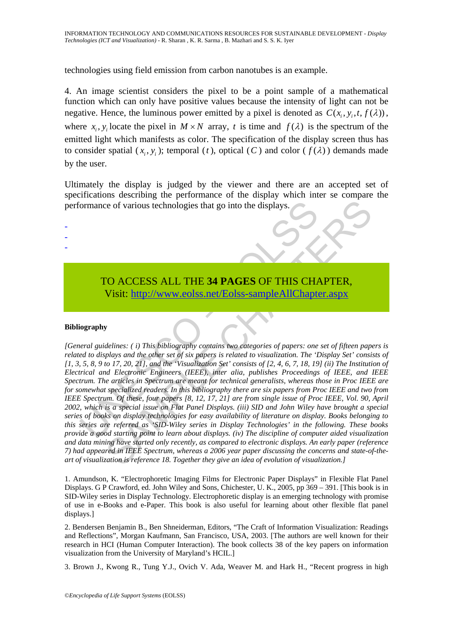technologies using field emission from carbon nanotubes is an example.

4. An image scientist considers the pixel to be a point sample of a mathematical function which can only have positive values because the intensity of light can not be negative. Hence, the luminous power emitted by a pixel is denoted as  $C(x, y, t, f(\lambda))$ . where  $x_i$ ,  $y_i$  locate the pixel in  $M \times N$  array, t is time and  $f(\lambda)$  is the spectrum of the emitted light which manifests as color. The specification of the display screen thus has to consider spatial  $(x_i, y_i)$ ; temporal  $(t)$ , optical  $(C)$  and color  $(f(\lambda))$  demands made by the user.

Ultimately the display is judged by the viewer and there are an accepted set of specifications describing the performance of the display which inter se compare the performance of various technologies that go into the displays.

# TO ACCESS ALL THE **34 PAGES** OF THIS CHAPTER, Visit: http://www.eolss.net/Eolss-sampleAllChapter.aspx

#### **Bibliography**

- - -

Formance of various technologies that go into the displays.<br>
TO ACCESS ALL THE 34 PAGES OF THIS CHANNEL USE CHANNEL USE THE STATE OF THIS CHANNEL USE THE STATE OF THIS CHANNEL USE THE USE THE USE THE USE THE USE THE USE TH is a formula in the displayer of the displayer of the displayer of the displayer of the displayer of the UCLESS ALL THE 34 PAGES OF THIS C[HAPT](https://www.eolss.net/ebooklib/sc_cart.aspx?File=E1-25-01-11)ER,<br>
Visit: http://www.eolss.net/Folss-sampleAllChapter.aspx<br>
y<br>
delines: (i) Th *[General guidelines: ( i) This bibliography contains two categories of papers: one set of fifteen papers is related to displays and the other set of six papers is related to visualization. The 'Display Set' consists of [1, 3, 5, 8, 9 to 17, 20, 21], and the 'Visualization Set' consists of [2, 4, 6, 7, 18, 19] (ii) The Institution of Electrical and Electronic Engineers (IEEE), inter alia, publishes Proceedings of IEEE, and IEEE Spectrum. The articles in Spectrum are meant for technical generalists, whereas those in Proc IEEE are for somewhat specialized readers. In this bibliography there are six papers from Proc IEEE and two from IEEE Spectrum. Of these, four papers [8, 12, 17, 21] are from single issue of Proc IEEE, Vol. 90, April 2002, which is a special issue on Flat Panel Displays. (iii) SID and John Wiley have brought a special series of books on display technologies for easy availability of literature on display. Books belonging to this series are referred as 'SID-Wiley series in Display Technologies' in the following. These books provide a good starting point to learn about displays. (iv) The discipline of computer aided visualization and data mining have started only recently, as compared to electronic displays. An early paper (reference 7) had appeared in IEEE Spectrum, whereas a 2006 year paper discussing the concerns and state-of-theart of visualization is reference 18. Together they give an idea of evolution of visualization.]*

1. Amundson, K. "Electrophoretic Imaging Films for Electronic Paper Displays" in Flexible Flat Panel Displays. G P Crawford, ed. John Wiley and Sons, Chichester, U. K., 2005, pp 369 – 391. [This book is in SID-Wiley series in Display Technology. Electrophoretic display is an emerging technology with promise of use in e-Books and e-Paper. This book is also useful for learning about other flexible flat panel displays.]

2. Bendersen Benjamin B., Ben Shneiderman, Editors, "The Craft of Information Visualization: Readings and Reflections", Morgan Kaufmann, San Francisco, USA, 2003. [The authors are well known for their research in HCI (Human Computer Interaction). The book collects 38 of the key papers on information visualization from the University of Maryland's HCIL.]

3. Brown J., Kwong R., Tung Y.J., Ovich V. Ada, Weaver M. and Hark H., "Recent progress in high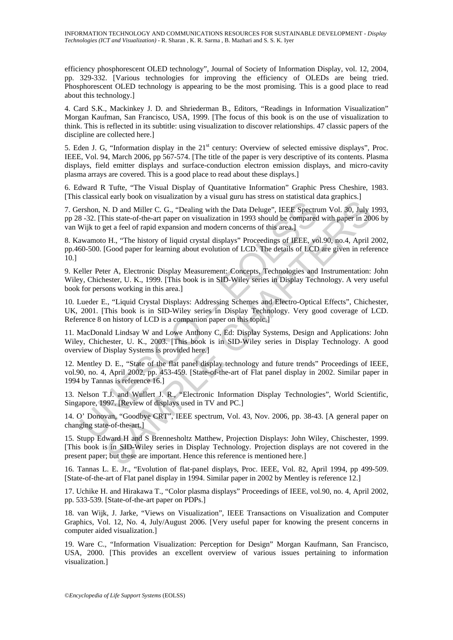efficiency phosphorescent OLED technology", Journal of Society of Information Display, vol. 12, 2004, pp. 329-332. [Various technologies for improving the efficiency of OLEDs are being tried. Phosphorescent OLED technology is appearing to be the most promising. This is a good place to read about this technology.]

4. Card S.K., Mackinkey J. D. and Shriederman B., Editors, "Readings in Information Visualization" Morgan Kaufman, San Francisco, USA, 1999. [The focus of this book is on the use of visualization to think. This is reflected in its subtitle: using visualization to discover relationships. 47 classic papers of the discipline are collected here.]

5. Eden J. G, "Information display in the 21<sup>st</sup> century: Overview of selected emissive displays", Proc. IEEE, Vol. 94, March 2006, pp 567-574. [The title of the paper is very descriptive of its contents. Plasma displays, field emitter displays and surface-conduction electron emission displays, and micro-cavity plasma arrays are covered. This is a good place to read about these displays.]

6. Edward R Tufte, "The Visual Display of Quantitative Information" Graphic Press Cheshire, 1983. [This classical early book on visualization by a visual guru has stress on statistical data graphics.]

ershon, N. D and Miller C. G., "Dealing with the Data Deluge", IEEE Spectrus 3-32. [This state-of-the-art paper on visualization in 1993 should be compared<br>Wijk to get a feel of rapid expansion and modern concerns of this N. D and Miller C. G., "Dealing with the Data Deluge", IEEE Spectrum Vol. 30, July his state-of-the-art paper on visualization in 1993 should be compared with paper in 200<br>this state-of-the-art paper on visualization in 19 7. Gershon, N. D and Miller C. G., "Dealing with the Data Deluge", IEEE Spectrum Vol. 30, July 1993, pp 28 -32. [This state-of-the-art paper on visualization in 1993 should be compared with paper in 2006 by van Wijk to get a feel of rapid expansion and modern concerns of this area.]

8. Kawamoto H., "The history of liquid crystal displays" Proceedings of IEEE, vol.90, no.4, April 2002, pp.460-500. [Good paper for learning about evolution of LCD. The details of LCD are given in reference 10.]

9. Keller Peter A, Electronic Display Measurement: Concepts, Technologies and Instrumentation: John Wiley, Chichester, U. K., 1999. [This book is in SID-Wiley series in Display Technology. A very useful book for persons working in this area.]

10. Lueder E., "Liquid Crystal Displays: Addressing Schemes and Electro-Optical Effects", Chichester, UK, 2001. [This book is in SID-Wiley series in Display Technology. Very good coverage of LCD. Reference 8 on history of LCD is a companion paper on this topic.]

11. MacDonald Lindsay W and Lowe Anthony C, Ed: Display Systems, Design and Applications: John Wiley, Chichester, U. K., 2003. [This book is in SID-Wiley series in Display Technology. A good overview of Display Systems is provided here.]

12. Mentley D. E., "State of the flat panel display technology and future trends" Proceedings of IEEE, vol.90, no. 4, April 2002, pp. 453-459. [State-of-the-art of Flat panel display in 2002. Similar paper in 1994 by Tannas is reference 16.]

13. Nelson T.J. and Wullert J. R., "Electronic Information Display Technologies", World Scientific, Singapore, 1997. [Review of displays used in TV and PC.]

14. O' Donovan, "Goodbye CRT", IEEE spectrum, Vol. 43, Nov. 2006, pp. 38-43. [A general paper on changing state-of-the-art.]

15. Stupp Edward H and S Brennesholtz Matthew, Projection Displays: John Wiley, Chischester, 1999. [This book is in SID-Wiley series in Display Technology. Projection displays are not covered in the present paper; but these are important. Hence this reference is mentioned here.]

16. Tannas L. E. Jr., "Evolution of flat-panel displays, Proc. IEEE, Vol. 82, April 1994, pp 499-509. [State-of-the-art of Flat panel display in 1994. Similar paper in 2002 by Mentley is reference 12.]

17. Uchike H. and Hirakawa T., "Color plasma displays" Proceedings of IEEE, vol.90, no. 4, April 2002, pp. 533-539. [State-of-the-art paper on PDPs.]

18. van Wijk, J. Jarke, "Views on Visualization", IEEE Transactions on Visualization and Computer Graphics, Vol. 12, No. 4, July/August 2006. [Very useful paper for knowing the present concerns in computer aided visualization.]

19. Ware C., "Information Visualization: Perception for Design" Morgan Kaufmann, San Francisco, USA, 2000. [This provides an excellent overview of various issues pertaining to information visualization.]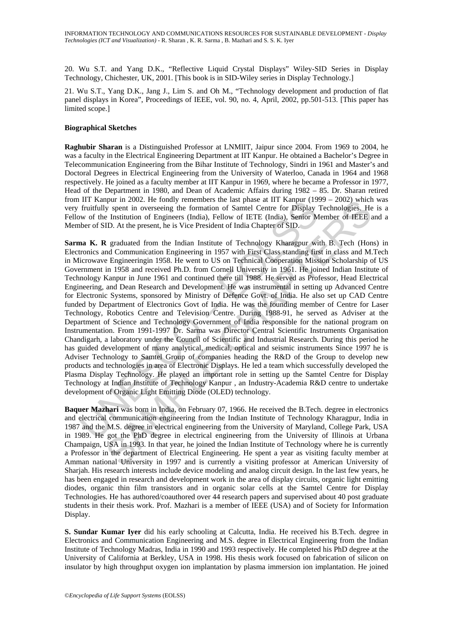20. Wu S.T. and Yang D.K., "Reflective Liquid Crystal Displays" Wiley-SID Series in Display Technology, Chichester, UK, 2001. [This book is in SID-Wiley series in Display Technology.]

21. Wu S.T., Yang D.K., Jang J., Lim S. and Oh M., "Technology development and production of flat panel displays in Korea", Proceedings of IEEE, vol. 90, no. 4, April, 2002, pp.501-513. [This paper has limited scope.]

#### **Biographical Sketches**

**Raghubir Sharan** is a Distinguished Professor at LNMIIT, Jaipur since 2004. From 1969 to 2004, he was a faculty in the Electrical Engineering Department at IIT Kanpur. He obtained a Bachelor's Degree in Telecommunication Engineering from the Bihar Institute of Technology, Sindri in 1961 and Master's and Doctoral Degrees in Electrical Engineering from the University of Waterloo, Canada in 1964 and 1968 respectively. He joined as a faculty member at IIT Kanpur in 1969, where he became a Professor in 1977, Head of the Department in 1980, and Dean of Academic Affairs during 1982 – 85. Dr. Sharan retired from IIT Kanpur in 2002. He fondly remembers the last phase at IIT Kanpur (1999 – 2002) which was very fruitfully spent in overseeing the formation of Samtel Centre for Display Technologies. He is a Fellow of the Institution of Engineers (India), Fellow of IETE (India), Senior Member of IEEE and a Member of SID. At the present, he is Vice President of India Chapter of SID.

IT Nampur in ZoOZ. He followed members un least plase at IT Nampur (1971). The Tradition of Engineers (India), Bellow of IETE (India), Senior Minited for Institution of Engineers (India), Fellow of IETE (India), Senior Mar pur m 2002. He fondaly remeners the tast phase at 11 Kappur (1999 – 2002) when<br>pur me and the term to the formation of Samel Centre for Display Technologies. He<br>Institution of Engineers (India), Fellow of IETE (India), Sen **Sarma K. R** graduated from the Indian Institute of Technology Kharagpur with B. Tech (Hons) in Electronics and Communication Engineering in 1957 with First Class standing first in class and M.Tech in Microwave Engineeringin 1958. He went to US on Technical Cooperation Mission Scholarship of US Government in 1958 and received Ph.D. from Cornell University in 1961. He joined Indian Institute of Technology Kanpur in June 1961 and continued there till 1988. He served as Professor, Head Electrical Engineering, and Dean Research and Development. He was instrumental in setting up Advanced Centre for Electronic Systems, sponsored by Ministry of Defence Govt. of India. He also set up CAD Centre funded by Department of Electronics Govt of India. He was the founding member of Centre for Laser Technology, Robotics Centre and Television Centre. During 1988-91, he served as Adviser at the Department of Science and Technology Government of India responsible for the national program on Instrumentation. From 1991-1997 Dr. Sarma was Director Central Scientific Instruments Organisation Chandigarh, a laboratory under the Council of Scientific and Industrial Research. During this period he has guided development of many analytical, medical, optical and seismic instruments Since 1997 he is Adviser Technology to Samtel Group of companies heading the R&D of the Group to develop new products and technologies in area of Electronic Displays. He led a team which successfully developed the Plasma Display Technology. He played an important role in setting up the Samtel Centre for Display Technology at Indian Institute of Technology Kanpur , an Industry-Academia R&D centre to undertake development of Organic Light Emitting Diode (OLED) technology.

**Baquer Mazhari** was born in India, on February 07, 1966. He received the B.Tech. degree in electronics and electrical communication engineering from the Indian Institute of Technology Kharagpur, India in 1987 and the M.S. degree in electrical engineering from the University of Maryland, College Park, USA in 1989. He got the PhD degree in electrical engineering from the University of Illinois at Urbana Champaign, USA in 1993. In that year, he joined the Indian Institute of Technology where he is currently a Professor in the department of Electrical Engineering. He spent a year as visiting faculty member at Amman national University in 1997 and is currently a visiting professor at American University of Sharjah. His research interests include device modeling and analog circuit design. In the last few years, he has been engaged in research and development work in the area of display circuits, organic light emitting diodes, organic thin film transistors and in organic solar cells at the Samtel Centre for Display Technologies. He has authored/coauthored over 44 research papers and supervised about 40 post graduate students in their thesis work. Prof. Mazhari is a member of IEEE (USA) and of Society for Information Display.

**S. Sundar Kumar Iyer** did his early schooling at Calcutta, India. He received his B.Tech. degree in Electronics and Communication Engineering and M.S. degree in Electrical Engineering from the Indian Institute of Technology Madras, India in 1990 and 1993 respectively. He completed his PhD degree at the University of California at Berkley, USA in 1998. His thesis work focused on fabrication of silicon on insulator by high throughput oxygen ion implantation by plasma immersion ion implantation. He joined